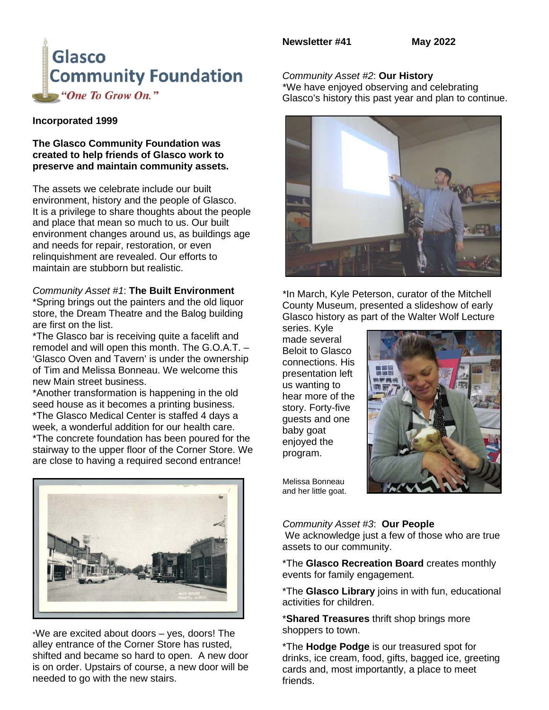

#### **Incorporated 1999**

**The Glasco Community Foundation was created to help friends of Glasco work to preserve and maintain community assets.**

The assets we celebrate include our built environment, history and the people of Glasco. It is a privilege to share thoughts about the people and place that mean so much to us. Our built environment changes around us, as buildings age and needs for repair, restoration, or even relinquishment are revealed. Our efforts to maintain are stubborn but realistic.

## *Community Asset #1*: **The Built Environment**

\*Spring brings out the painters and the old liquor store, the Dream Theatre and the Balog building are first on the list.

\*The Glasco bar is receiving quite a facelift and remodel and will open this month. The G.O.A.T. – 'Glasco Oven and Tavern' is under the ownership of Tim and Melissa Bonneau. We welcome this new Main street business.

\*Another transformation is happening in the old seed house as it becomes a printing business. \*The Glasco Medical Center is staffed 4 days a week, a wonderful addition for our health care. \*The concrete foundation has been poured for the stairway to the upper floor of the Corner Store. We are close to having a required second entrance!



\*We are excited about doors – yes, doors! The alley entrance of the Corner Store has rusted, shifted and became so hard to open. A new door is on order. Upstairs of course, a new door will be needed to go with the new stairs.

## *Community Asset #2*: **Our History**

 \*We have enjoyed observing and celebrating Glasco's history this past year and plan to continue.



 \*In March, Kyle Peterson, curator of the Mitchell County Museum, presented a slideshow of early Glasco history as part of the Walter Wolf Lecture

series. Kyle made several Beloit to Glasco connections. His presentation left us wanting to hear more of the story. Forty-five guests and one baby goat enjoyed the program.



 Melissa Bonneau and her little goat.

#### *Community Asset #3*: **Our People**

We acknowledge just a few of those who are true assets to our community.

\*The **Glasco Recreation Board** creates monthly events for family engagement.

\*The **Glasco Library** joins in with fun, educational activities for children.

\***Shared Treasures** thrift shop brings more shoppers to town.

\*The **Hodge Podge** is our treasured spot for drinks, ice cream, food, gifts, bagged ice, greeting cards and, most importantly, a place to meet friends.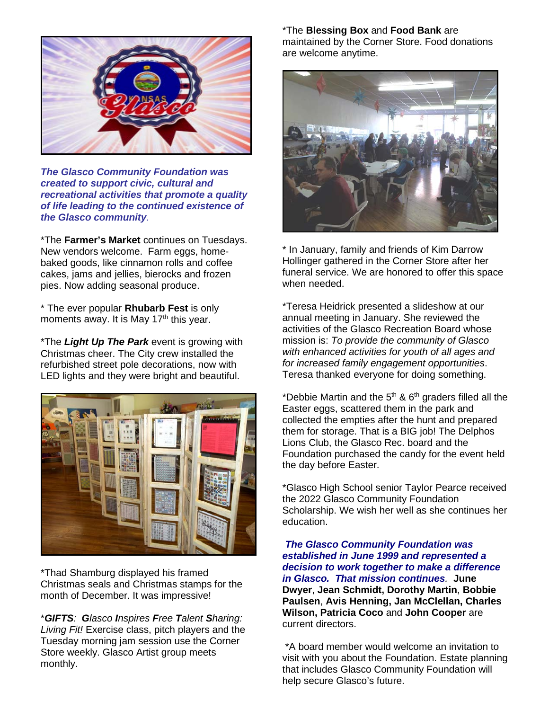

*The Glasco Community Foundation was created to support civic, cultural and recreational activities that promote a quality of life leading to the continued existence of the Glasco community.*

\*The **Farmer's Market** continues on Tuesdays. New vendors welcome. Farm eggs, homebaked goods, like cinnamon rolls and coffee cakes, jams and jellies, bierocks and frozen pies. Now adding seasonal produce.

\* The ever popular **Rhubarb Fest** is only moments away. It is May  $17<sup>th</sup>$  this year.

\*The *Light Up The Park* event is growing with Christmas cheer. The City crew installed the refurbished street pole decorations, now with LED lights and they were bright and beautiful.



\*Thad Shamburg displayed his framed Christmas seals and Christmas stamps for the month of December. It was impressive!

\**GIFTS: Glasco Inspires Free Talent Sharing: Living Fit!* Exercise class, pitch players and the Tuesday morning jam session use the Corner Store weekly. Glasco Artist group meets monthly.

\*The **Blessing Box** and **Food Bank** are maintained by the Corner Store. Food donations are welcome anytime.



\* In January, family and friends of Kim Darrow Hollinger gathered in the Corner Store after her funeral service. We are honored to offer this space when needed.

\*Teresa Heidrick presented a slideshow at our annual meeting in January. She reviewed the activities of the Glasco Recreation Board whose mission is: *To provide the community of Glasco with enhanced activities for youth of all ages and for increased family engagement opportunities*. Teresa thanked everyone for doing something.

\*Debbie Martin and the  $5<sup>th</sup>$  &  $6<sup>th</sup>$  graders filled all the Easter eggs, scattered them in the park and collected the empties after the hunt and prepared them for storage. That is a BIG job! The Delphos Lions Club, the Glasco Rec. board and the Foundation purchased the candy for the event held the day before Easter.

\*Glasco High School senior Taylor Pearce received the 2022 Glasco Community Foundation Scholarship. We wish her well as she continues her education.

*The Glasco Community Foundation was established in June 1999 and represented a decision to work together to make a difference in Glasco. That mission continues.* **June Dwyer**, **Jean Schmidt, Dorothy Martin**, **Bobbie Paulsen**, **Avis Henning, Jan McClellan, Charles Wilson, Patricia Coco** and **John Cooper** are current directors.

\*A board member would welcome an invitation to visit with you about the Foundation. Estate planning that includes Glasco Community Foundation will help secure Glasco's future.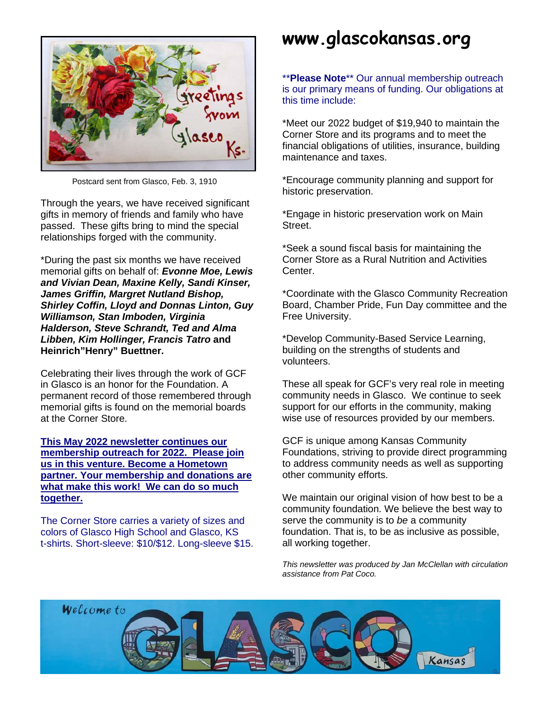

Postcard sent from Glasco, Feb. 3, 1910

Through the years, we have received significant gifts in memory of friends and family who have passed. These gifts bring to mind the special relationships forged with the community.

\*During the past six months we have received memorial gifts on behalf of: *Evonne Moe, Lewis and Vivian Dean, Maxine Kelly, Sandi Kinser, James Griffin, Margret Nutland Bishop, Shirley Coffin, Lloyd and Donnas Linton, Guy Williamson, Stan Imboden, Virginia Halderson, Steve Schrandt, Ted and Alma Libben, Kim Hollinger, Francis Tatro* **and Heinrich"Henry" Buettner.**

Celebrating their lives through the work of GCF in Glasco is an honor for the Foundation. A permanent record of those remembered through memorial gifts is found on the memorial boards at the Corner Store.

**This May 2022 newsletter continues our membership outreach for 2022. Please join us in this venture. Become a Hometown partner. Your membership and donations are what make this work! We can do so much together.**

The Corner Store carries a variety of sizes and colors of Glasco High School and Glasco, KS t-shirts. Short-sleeve: \$10/\$12. Long-sleeve \$15.

# **www.glascokansas.org**

\*\***Please Note**\*\* Our annual membership outreach is our primary means of funding. Our obligations at this time include:

\*Meet our 2022 budget of \$19,940 to maintain the Corner Store and its programs and to meet the financial obligations of utilities, insurance, building maintenance and taxes.

\*Encourage community planning and support for historic preservation.

\*Engage in historic preservation work on Main Street.

\*Seek a sound fiscal basis for maintaining the Corner Store as a Rural Nutrition and Activities Center.

\*Coordinate with the Glasco Community Recreation Board, Chamber Pride, Fun Day committee and the Free University.

\*Develop Community-Based Service Learning, building on the strengths of students and volunteers.

These all speak for GCF's very real role in meeting community needs in Glasco. We continue to seek support for our efforts in the community, making wise use of resources provided by our members.

GCF is unique among Kansas Community Foundations, striving to provide direct programming to address community needs as well as supporting other community efforts.

We maintain our original vision of how best to be a community foundation. We believe the best way to serve the community is to *be* a community foundation. That is, to be as inclusive as possible, all working together.

*This newsletter was produced by Jan McClellan with circulation assistance from Pat Coco.*